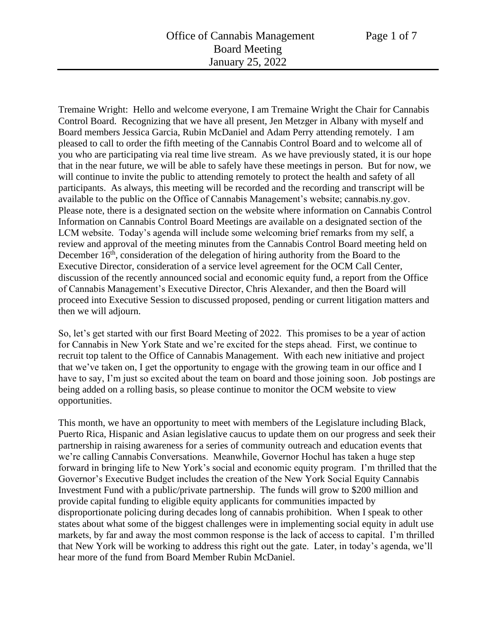Tremaine Wright: Hello and welcome everyone, I am Tremaine Wright the Chair for Cannabis Control Board. Recognizing that we have all present, Jen Metzger in Albany with myself and Board members Jessica Garcia, Rubin McDaniel and Adam Perry attending remotely. I am pleased to call to order the fifth meeting of the Cannabis Control Board and to welcome all of you who are participating via real time live stream. As we have previously stated, it is our hope that in the near future, we will be able to safely have these meetings in person. But for now, we will continue to invite the public to attending remotely to protect the health and safety of all participants. As always, this meeting will be recorded and the recording and transcript will be available to the public on the Office of Cannabis Management's website; cannabis.ny.gov. Please note, there is a designated section on the website where information on Cannabis Control Information on Cannabis Control Board Meetings are available on a designated section of the LCM website. Today's agenda will include some welcoming brief remarks from my self, a review and approval of the meeting minutes from the Cannabis Control Board meeting held on December  $16<sup>th</sup>$ , consideration of the delegation of hiring authority from the Board to the Executive Director, consideration of a service level agreement for the OCM Call Center, discussion of the recently announced social and economic equity fund, a report from the Office of Cannabis Management's Executive Director, Chris Alexander, and then the Board will proceed into Executive Session to discussed proposed, pending or current litigation matters and then we will adjourn.

So, let's get started with our first Board Meeting of 2022. This promises to be a year of action for Cannabis in New York State and we're excited for the steps ahead. First, we continue to recruit top talent to the Office of Cannabis Management. With each new initiative and project that we've taken on, I get the opportunity to engage with the growing team in our office and I have to say, I'm just so excited about the team on board and those joining soon. Job postings are being added on a rolling basis, so please continue to monitor the OCM website to view opportunities.

This month, we have an opportunity to meet with members of the Legislature including Black, Puerto Rica, Hispanic and Asian legislative caucus to update them on our progress and seek their partnership in raising awareness for a series of community outreach and education events that we're calling Cannabis Conversations. Meanwhile, Governor Hochul has taken a huge step forward in bringing life to New York's social and economic equity program. I'm thrilled that the Governor's Executive Budget includes the creation of the New York Social Equity Cannabis Investment Fund with a public/private partnership. The funds will grow to \$200 million and provide capital funding to eligible equity applicants for communities impacted by disproportionate policing during decades long of cannabis prohibition. When I speak to other states about what some of the biggest challenges were in implementing social equity in adult use markets, by far and away the most common response is the lack of access to capital. I'm thrilled that New York will be working to address this right out the gate. Later, in today's agenda, we'll hear more of the fund from Board Member Rubin McDaniel.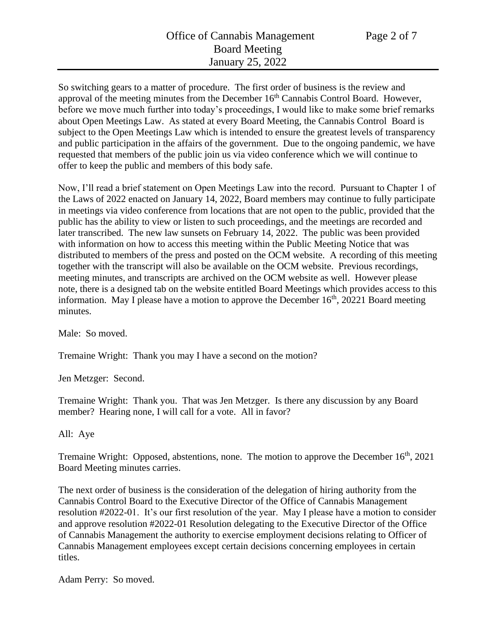So switching gears to a matter of procedure. The first order of business is the review and approval of the meeting minutes from the December  $16<sup>th</sup>$  Cannabis Control Board. However, before we move much further into today's proceedings, I would like to make some brief remarks about Open Meetings Law. As stated at every Board Meeting, the Cannabis Control Board is subject to the Open Meetings Law which is intended to ensure the greatest levels of transparency and public participation in the affairs of the government. Due to the ongoing pandemic, we have requested that members of the public join us via video conference which we will continue to offer to keep the public and members of this body safe.

Now, I'll read a brief statement on Open Meetings Law into the record. Pursuant to Chapter 1 of the Laws of 2022 enacted on January 14, 2022, Board members may continue to fully participate in meetings via video conference from locations that are not open to the public, provided that the public has the ability to view or listen to such proceedings, and the meetings are recorded and later transcribed. The new law sunsets on February 14, 2022. The public was been provided with information on how to access this meeting within the Public Meeting Notice that was distributed to members of the press and posted on the OCM website. A recording of this meeting together with the transcript will also be available on the OCM website. Previous recordings, meeting minutes, and transcripts are archived on the OCM website as well. However please note, there is a designed tab on the website entitled Board Meetings which provides access to this information. May I please have a motion to approve the December  $16<sup>th</sup>$ , 20221 Board meeting minutes.

Male: So moved.

Tremaine Wright: Thank you may I have a second on the motion?

Jen Metzger: Second.

Tremaine Wright: Thank you. That was Jen Metzger. Is there any discussion by any Board member? Hearing none, I will call for a vote. All in favor?

All: Aye

Tremaine Wright: Opposed, abstentions, none. The motion to approve the December  $16<sup>th</sup>$ , 2021 Board Meeting minutes carries.

The next order of business is the consideration of the delegation of hiring authority from the Cannabis Control Board to the Executive Director of the Office of Cannabis Management resolution #2022-01. It's our first resolution of the year. May I please have a motion to consider and approve resolution #2022-01 Resolution delegating to the Executive Director of the Office of Cannabis Management the authority to exercise employment decisions relating to Officer of Cannabis Management employees except certain decisions concerning employees in certain titles.

Adam Perry: So moved.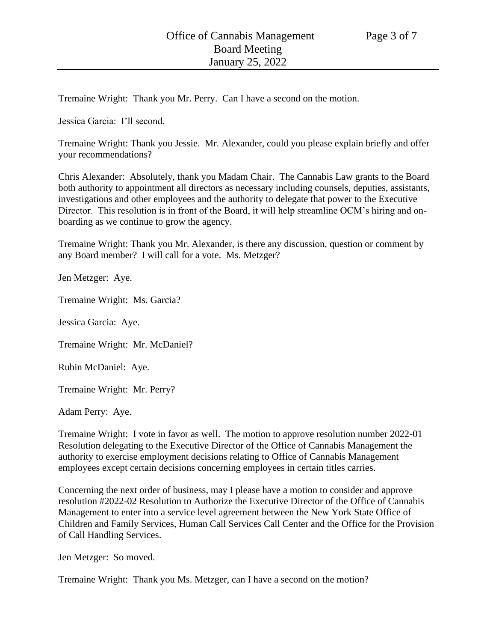Tremaine Wright: Thank you Mr. Perry. Can I have a second on the motion.

Jessica Garcia: I'll second.

Tremaine Wright: Thank you Jessie. Mr. Alexander, could you please explain briefly and offer your recommendations?

Chris Alexander: Absolutely, thank you Madam Chair. The Cannabis Law grants to the Board both authority to appointment all directors as necessary including counsels, deputies, assistants, investigations and other employees and the authority to delegate that power to the Executive Director. This resolution is in front of the Board, it will help streamline OCM's hiring and onboarding as we continue to grow the agency.

Tremaine Wright: Thank you Mr. Alexander, is there any discussion, question or comment by any Board member? I will call for a vote. Ms. Metzger?

Jen Metzger: Aye.

Tremaine Wright: Ms. Garcia?

Jessica Garcia: Aye.

Tremaine Wright: Mr. McDaniel?

Rubin McDaniel: Aye.

Tremaine Wright: Mr. Perry?

Adam Perry: Aye.

Tremaine Wright: I vote in favor as well. The motion to approve resolution number 2022-01 Resolution delegating to the Executive Director of the Office of Cannabis Management the authority to exercise employment decisions relating to Office of Cannabis Management employees except certain decisions concerning employees in certain titles carries.

Concerning the next order of business, may I please have a motion to consider and approve resolution #2022-02 Resolution to Authorize the Executive Director of the Office of Cannabis Management to enter into a service level agreement between the New York State Office of Children and Family Services, Human Call Services Call Center and the Office for the Provision of Call Handling Services.

Jen Metzger: So moved.

Tremaine Wright: Thank you Ms. Metzger, can I have a second on the motion?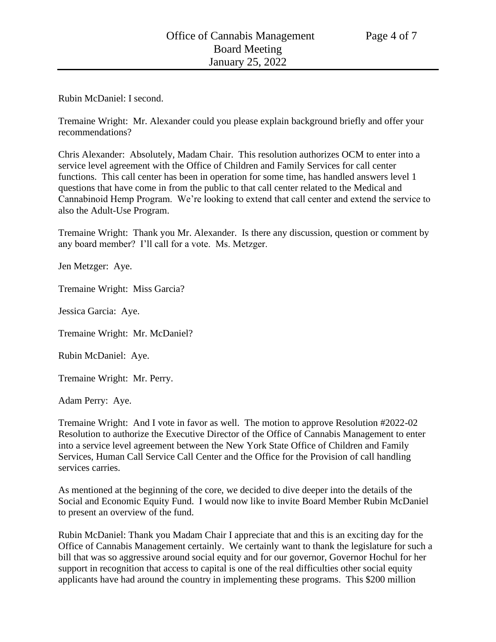Rubin McDaniel: I second.

Tremaine Wright: Mr. Alexander could you please explain background briefly and offer your recommendations?

Chris Alexander: Absolutely, Madam Chair. This resolution authorizes OCM to enter into a service level agreement with the Office of Children and Family Services for call center functions. This call center has been in operation for some time, has handled answers level 1 questions that have come in from the public to that call center related to the Medical and Cannabinoid Hemp Program. We're looking to extend that call center and extend the service to also the Adult-Use Program.

Tremaine Wright: Thank you Mr. Alexander. Is there any discussion, question or comment by any board member? I'll call for a vote. Ms. Metzger.

Jen Metzger: Aye.

Tremaine Wright: Miss Garcia?

Jessica Garcia: Aye.

Tremaine Wright: Mr. McDaniel?

Rubin McDaniel: Aye.

Tremaine Wright: Mr. Perry.

Adam Perry: Aye.

Tremaine Wright: And I vote in favor as well. The motion to approve Resolution #2022-02 Resolution to authorize the Executive Director of the Office of Cannabis Management to enter into a service level agreement between the New York State Office of Children and Family Services, Human Call Service Call Center and the Office for the Provision of call handling services carries.

As mentioned at the beginning of the core, we decided to dive deeper into the details of the Social and Economic Equity Fund. I would now like to invite Board Member Rubin McDaniel to present an overview of the fund.

Rubin McDaniel: Thank you Madam Chair I appreciate that and this is an exciting day for the Office of Cannabis Management certainly. We certainly want to thank the legislature for such a bill that was so aggressive around social equity and for our governor, Governor Hochul for her support in recognition that access to capital is one of the real difficulties other social equity applicants have had around the country in implementing these programs. This \$200 million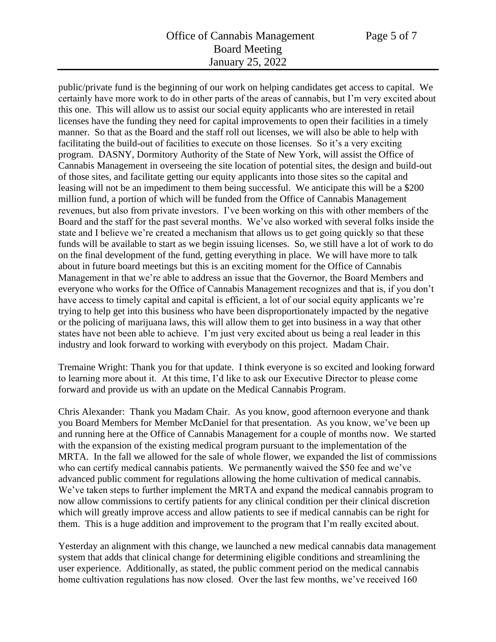## Office of Cannabis Management Page 5 of 7 Board Meeting January 25, 2022

public/private fund is the beginning of our work on helping candidates get access to capital. We certainly have more work to do in other parts of the areas of cannabis, but I'm very excited about this one. This will allow us to assist our social equity applicants who are interested in retail licenses have the funding they need for capital improvements to open their facilities in a timely manner. So that as the Board and the staff roll out licenses, we will also be able to help with facilitating the build-out of facilities to execute on those licenses. So it's a very exciting program. DASNY, Dormitory Authority of the State of New York, will assist the Office of Cannabis Management in overseeing the site location of potential sites, the design and build-out of those sites, and facilitate getting our equity applicants into those sites so the capital and leasing will not be an impediment to them being successful. We anticipate this will be a \$200 million fund, a portion of which will be funded from the Office of Cannabis Management revenues, but also from private investors. I've been working on this with other members of the Board and the staff for the past several months. We've also worked with several folks inside the state and I believe we're created a mechanism that allows us to get going quickly so that these funds will be available to start as we begin issuing licenses. So, we still have a lot of work to do on the final development of the fund, getting everything in place. We will have more to talk about in future board meetings but this is an exciting moment for the Office of Cannabis Management in that we're able to address an issue that the Governor, the Board Members and everyone who works for the Office of Cannabis Management recognizes and that is, if you don't have access to timely capital and capital is efficient, a lot of our social equity applicants we're trying to help get into this business who have been disproportionately impacted by the negative or the policing of marijuana laws, this will allow them to get into business in a way that other states have not been able to achieve. I'm just very excited about us being a real leader in this industry and look forward to working with everybody on this project. Madam Chair.

Tremaine Wright: Thank you for that update. I think everyone is so excited and looking forward to learning more about it. At this time, I'd like to ask our Executive Director to please come forward and provide us with an update on the Medical Cannabis Program.

Chris Alexander: Thank you Madam Chair. As you know, good afternoon everyone and thank you Board Members for Member McDaniel for that presentation. As you know, we've been up and running here at the Office of Cannabis Management for a couple of months now. We started with the expansion of the existing medical program pursuant to the implementation of the MRTA. In the fall we allowed for the sale of whole flower, we expanded the list of commissions who can certify medical cannabis patients. We permanently waived the \$50 fee and we've advanced public comment for regulations allowing the home cultivation of medical cannabis. We've taken steps to further implement the MRTA and expand the medical cannabis program to now allow commissions to certify patients for any clinical condition per their clinical discretion which will greatly improve access and allow patients to see if medical cannabis can be right for them. This is a huge addition and improvement to the program that I'm really excited about.

Yesterday an alignment with this change, we launched a new medical cannabis data management system that adds that clinical change for determining eligible conditions and streamlining the user experience. Additionally, as stated, the public comment period on the medical cannabis home cultivation regulations has now closed. Over the last few months, we've received 160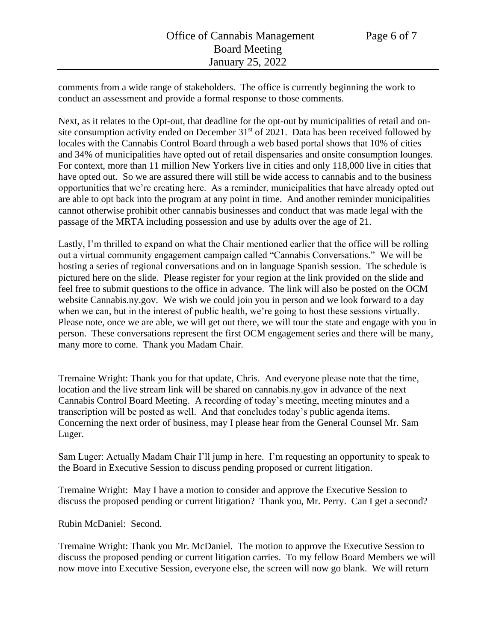comments from a wide range of stakeholders. The office is currently beginning the work to conduct an assessment and provide a formal response to those comments.

Next, as it relates to the Opt-out, that deadline for the opt-out by municipalities of retail and onsite consumption activity ended on December  $31<sup>st</sup>$  of 2021. Data has been received followed by locales with the Cannabis Control Board through a web based portal shows that 10% of cities and 34% of municipalities have opted out of retail dispensaries and onsite consumption lounges. For context, more than 11 million New Yorkers live in cities and only 118,000 live in cities that have opted out. So we are assured there will still be wide access to cannabis and to the business opportunities that we're creating here. As a reminder, municipalities that have already opted out are able to opt back into the program at any point in time. And another reminder municipalities cannot otherwise prohibit other cannabis businesses and conduct that was made legal with the passage of the MRTA including possession and use by adults over the age of 21.

Lastly, I'm thrilled to expand on what the Chair mentioned earlier that the office will be rolling out a virtual community engagement campaign called "Cannabis Conversations." We will be hosting a series of regional conversations and on in language Spanish session. The schedule is pictured here on the slide. Please register for your region at the link provided on the slide and feel free to submit questions to the office in advance. The link will also be posted on the OCM website Cannabis.ny.gov. We wish we could join you in person and we look forward to a day when we can, but in the interest of public health, we're going to host these sessions virtually. Please note, once we are able, we will get out there, we will tour the state and engage with you in person. These conversations represent the first OCM engagement series and there will be many, many more to come. Thank you Madam Chair.

Tremaine Wright: Thank you for that update, Chris. And everyone please note that the time, location and the live stream link will be shared on cannabis.ny.gov in advance of the next Cannabis Control Board Meeting. A recording of today's meeting, meeting minutes and a transcription will be posted as well. And that concludes today's public agenda items. Concerning the next order of business, may I please hear from the General Counsel Mr. Sam Luger.

Sam Luger: Actually Madam Chair I'll jump in here. I'm requesting an opportunity to speak to the Board in Executive Session to discuss pending proposed or current litigation.

Tremaine Wright: May I have a motion to consider and approve the Executive Session to discuss the proposed pending or current litigation? Thank you, Mr. Perry. Can I get a second?

Rubin McDaniel: Second.

Tremaine Wright: Thank you Mr. McDaniel. The motion to approve the Executive Session to discuss the proposed pending or current litigation carries. To my fellow Board Members we will now move into Executive Session, everyone else, the screen will now go blank. We will return